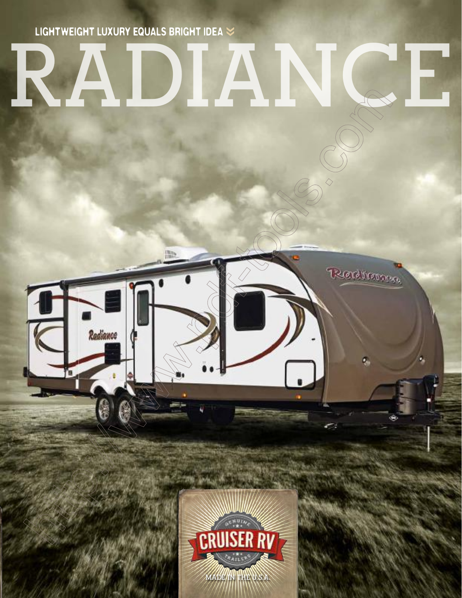LIGHTWEIGHT LUXURY EQUALS BRIGHT IDEA  $\leq$ 

## IN

Redrama

۵



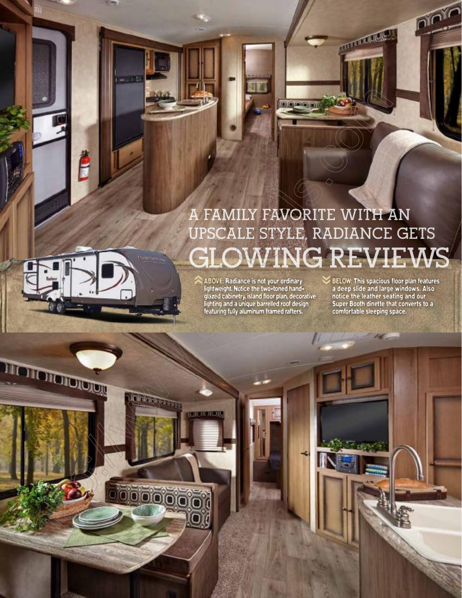## **A FAMILY FAVORITE WITH AN UPSCALE STYLE, RADIANCE GETS GLOWING REVIEWS**

**Lo gleinini** 

ABOVE: Radiance is not your ordinary lightweight. Notice the two-toned handglazed cabinetry, island floor plan, decorative lighting and a unique barrelled roof design featuring fully aluminum framed rafters. ‹‹

TIOTOTOTOTO

00000

BELOW: This spacious floor plan features a deep slide and large windows. Also notice the leather seating and our Super Booth dinette that converts to a comfortable sleeping space. ‹‹

**CONTRACTOR** 

nio<sup>y</sup>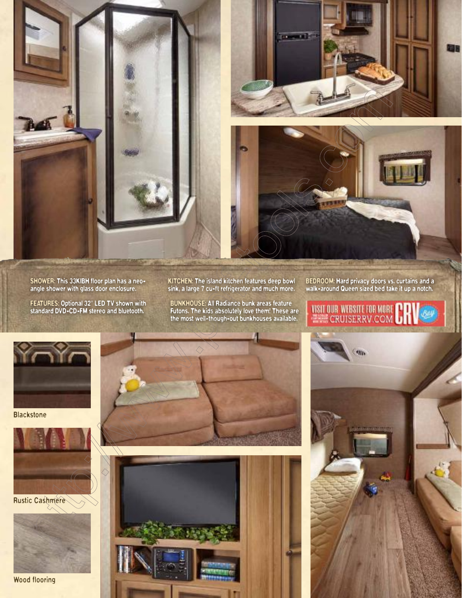

SHOWER: This 33KIBH floor plan has a neoangle shower with glass door enclosure.

FEATURES: Optional 32" LED TV shown with standard DVD-CD-FM stereo and bluetooth.

KITCHEN: The island kitchen features deep bowl sink, a large 7 cu-ft refrigerator and much more.

BUNKHOUSE: All Radiance bunk areas feature Futons. The kids absolutely love them! These are the most well-though-out bunkhouses available. BEDROOM: Hard privacy doors vs. curtains and a walk-around Queen sized bed take it up a notch.

VISIT OUR WEBSITE FOR MORE CH



**Blackstone** 



Rustic Cashmere



Wood flooring